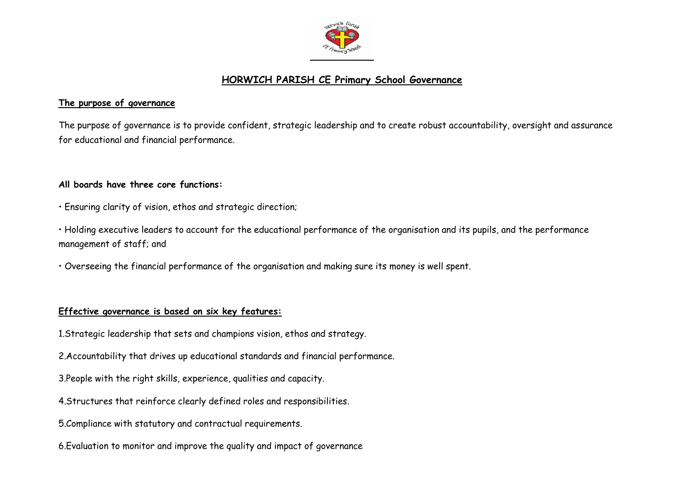

# **HORWICH PARISH CE Primary School Governance**

#### **The purpose of governance**

The purpose of governance is to provide confident, strategic leadership and to create robust accountability, oversight and assurance for educational and financial performance.

### **All boards have three core functions:**

- Ensuring clarity of vision, ethos and strategic direction;
- Holding executive leaders to account for the educational performance of the organisation and its pupils, and the performance management of staff; and
- Overseeing the financial performance of the organisation and making sure its money is well spent.

# **Effective governance is based on six key features:**

- 1.Strategic leadership that sets and champions vision, ethos and strategy.
- 2.Accountability that drives up educational standards and financial performance.
- 3.People with the right skills, experience, qualities and capacity.
- 4.Structures that reinforce clearly defined roles and responsibilities.
- 5.Compliance with statutory and contractual requirements.
- 6.Evaluation to monitor and improve the quality and impact of governance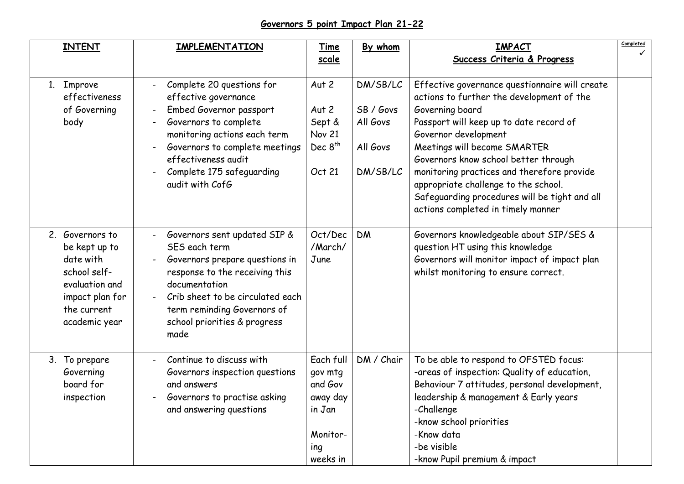# **Governors 5 point Impact Plan 21-22**

| <b>INTENT</b>                                                                                                                      | <b>IMPLEMENTATION</b>                                                                                                                                                                                                                          | Time                                                                                 | By whom                                                   | <b>IMPACT</b>                                                                                                                                                                                                                                                                                                                                                                                                                          | Completed |
|------------------------------------------------------------------------------------------------------------------------------------|------------------------------------------------------------------------------------------------------------------------------------------------------------------------------------------------------------------------------------------------|--------------------------------------------------------------------------------------|-----------------------------------------------------------|----------------------------------------------------------------------------------------------------------------------------------------------------------------------------------------------------------------------------------------------------------------------------------------------------------------------------------------------------------------------------------------------------------------------------------------|-----------|
|                                                                                                                                    |                                                                                                                                                                                                                                                | scale                                                                                |                                                           | Success Criteria & Progress                                                                                                                                                                                                                                                                                                                                                                                                            |           |
| 1. Improve<br>effectiveness<br>of Governing<br>body                                                                                | Complete 20 questions for<br>effective governance<br>Embed Governor passport<br>Governors to complete<br>monitoring actions each term<br>Governors to complete meetings<br>effectiveness audit<br>Complete 175 safeguarding<br>audit with CofG | Aut 2<br>Aut 2<br>Sept &<br><b>Nov 21</b><br>Dec 8 <sup>th</sup><br>Oct 21           | DM/SB/LC<br>SB / Govs<br>All Govs<br>All Govs<br>DM/SB/LC | Effective governance questionnaire will create<br>actions to further the development of the<br>Governing board<br>Passport will keep up to date record of<br>Governor development<br>Meetings will become SMARTER<br>Governors know school better through<br>monitoring practices and therefore provide<br>appropriate challenge to the school.<br>Safeguarding procedures will be tight and all<br>actions completed in timely manner |           |
| 2. Governors to<br>be kept up to<br>date with<br>school self-<br>evaluation and<br>impact plan for<br>the current<br>academic year | Governors sent updated SIP &<br>SES each term<br>Governors prepare questions in<br>response to the receiving this<br>documentation<br>Crib sheet to be circulated each<br>term reminding Governors of<br>school priorities & progress<br>made  | Oct/Dec<br>/March/<br>June                                                           | <b>DM</b>                                                 | Governors knowledgeable about SIP/SES &<br>question HT using this knowledge<br>Governors will monitor impact of impact plan<br>whilst monitoring to ensure correct.                                                                                                                                                                                                                                                                    |           |
| 3. To prepare<br>Governing<br>board for<br>inspection                                                                              | Continue to discuss with<br>Governors inspection questions<br>and answers<br>Governors to practise asking<br>and answering questions                                                                                                           | Each full<br>gov mtg<br>and Gov<br>away day<br>in Jan<br>Monitor-<br>ing<br>weeks in | DM / Chair                                                | To be able to respond to OFSTED focus:<br>-areas of inspection: Quality of education,<br>Behaviour 7 attitudes, personal development,<br>leadership & management & Early years<br>-Challenge<br>-know school priorities<br>-Know data<br>-be visible<br>-know Pupil premium & impact                                                                                                                                                   |           |